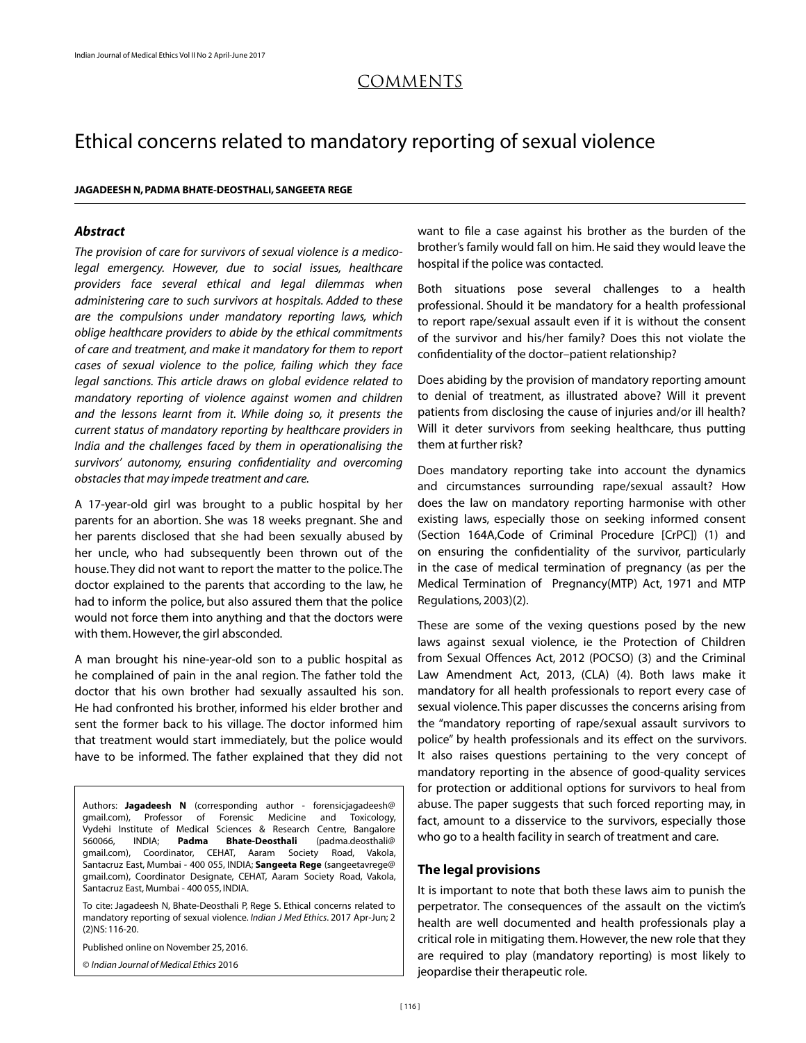# COMMENTs

# Ethical concerns related to mandatory reporting of sexual violence

#### **JAGADEESH N, PADMA BHATE-DEOSTHALI, SANGEETA REGE**

# *Abstract*

*The provision of care for survivors of sexual violence is a medicolegal emergency. However, due to social issues, healthcare providers face several ethical and legal dilemmas when administering care to such survivors at hospitals. Added to these are the compulsions under mandatory reporting laws, which oblige healthcare providers to abide by the ethical commitments of care and treatment, and make it mandatory for them to report cases of sexual violence to the police, failing which they face legal sanctions. This article draws on global evidence related to mandatory reporting of violence against women and children and the lessons learnt from it. While doing so, it presents the current status of mandatory reporting by healthcare providers in India and the challenges faced by them in operationalising the survivors' autonomy, ensuring confidentiality and overcoming obstacles that may impede treatment and care.* 

A 17-year-old girl was brought to a public hospital by her parents for an abortion. She was 18 weeks pregnant. She and her parents disclosed that she had been sexually abused by her uncle, who had subsequently been thrown out of the house. They did not want to report the matter to the police. The doctor explained to the parents that according to the law, he had to inform the police, but also assured them that the police would not force them into anything and that the doctors were with them. However, the girl absconded.

A man brought his nine-year-old son to a public hospital as he complained of pain in the anal region. The father told the doctor that his own brother had sexually assaulted his son. He had confronted his brother, informed his elder brother and sent the former back to his village. The doctor informed him that treatment would start immediately, but the police would have to be informed. The father explained that they did not

Authors: **Jagadeesh N** (corresponding author - forensicjagadeesh@ gmail.com), Professor of Forensic Medicine and Toxicology, Vydehi Institute of Medical Sciences & Research Centre, Bangalore 560066, INDIA; **Padma Bhate-Deosthali** (padma.deosthali@ gmail.com), Coordinator, CEHAT, Aaram Society Road, Vakola, Santacruz East, Mumbai - 400 055, INDIA; **Sangeeta Rege** (sangeetavrege@ gmail.com), Coordinator Designate, CEHAT, Aaram Society Road, Vakola, Santacruz East, Mumbai - 400 055, INDIA.

To cite: Jagadeesh N, Bhate-Deosthali P, Rege S. Ethical concerns related to mandatory reporting of sexual violence. *Indian J Med Ethics*. 2017 Apr-Jun; 2 (2)NS: 116-20.

Published online on November 25, 2016.

© *Indian Journal of Medical Ethics* 2016

want to file a case against his brother as the burden of the brother's family would fall on him. He said they would leave the hospital if the police was contacted.

Both situations pose several challenges to a health professional. Should it be mandatory for a health professional to report rape/sexual assault even if it is without the consent of the survivor and his/her family? Does this not violate the confidentiality of the doctor–patient relationship?

Does abiding by the provision of mandatory reporting amount to denial of treatment, as illustrated above? Will it prevent patients from disclosing the cause of injuries and/or ill health? Will it deter survivors from seeking healthcare, thus putting them at further risk?

Does mandatory reporting take into account the dynamics and circumstances surrounding rape/sexual assault? How does the law on mandatory reporting harmonise with other existing laws, especially those on seeking informed consent (Section 164A,Code of Criminal Procedure [CrPC]) (1) and on ensuring the confidentiality of the survivor, particularly in the case of medical termination of pregnancy (as per the Medical Termination of Pregnancy(MTP) Act, 1971 and MTP Regulations, 2003)(2).

These are some of the vexing questions posed by the new laws against sexual violence, ie the Protection of Children from Sexual Offences Act, 2012 (POCSO) (3) and the Criminal Law Amendment Act, 2013, (CLA) (4). Both laws make it mandatory for all health professionals to report every case of sexual violence. This paper discusses the concerns arising from the "mandatory reporting of rape/sexual assault survivors to police" by health professionals and its effect on the survivors. It also raises questions pertaining to the very concept of mandatory reporting in the absence of good-quality services for protection or additional options for survivors to heal from abuse. The paper suggests that such forced reporting may, in fact, amount to a disservice to the survivors, especially those who go to a health facility in search of treatment and care.

#### **The legal provisions**

It is important to note that both these laws aim to punish the perpetrator. The consequences of the assault on the victim's health are well documented and health professionals play a critical role in mitigating them. However, the new role that they are required to play (mandatory reporting) is most likely to jeopardise their therapeutic role.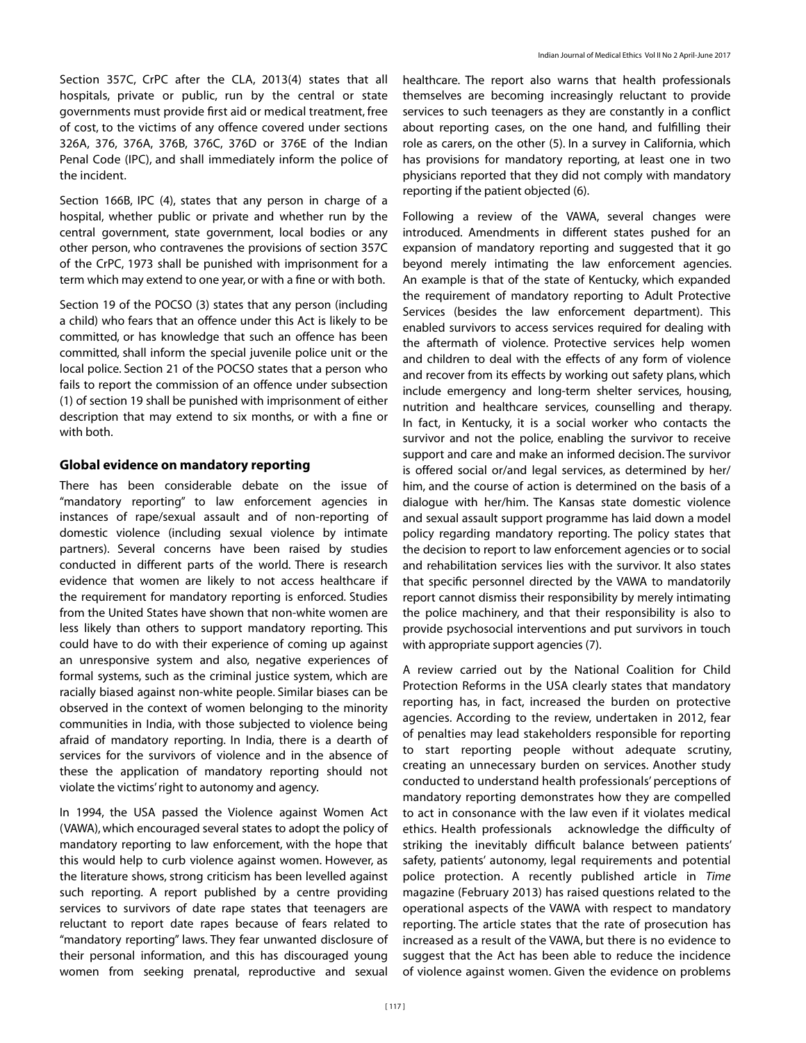Section 357C, CrPC after the CLA, 2013(4) states that all hospitals, private or public, run by the central or state governments must provide first aid or medical treatment, free of cost, to the victims of any offence covered under sections 326A, 376, 376A, 376B, 376C, 376D or 376E of the Indian Penal Code (IPC), and shall immediately inform the police of the incident.

Section 166B, IPC (4), states that any person in charge of a hospital, whether public or private and whether run by the central government, state government, local bodies or any other person, who contravenes the provisions of section 357C of the CrPC, 1973 shall be punished with imprisonment for a term which may extend to one year, or with a fine or with both.

Section 19 of the POCSO (3) states that any person (including a child) who fears that an offence under this Act is likely to be committed, or has knowledge that such an offence has been committed, shall inform the special juvenile police unit or the local police. Section 21 of the POCSO states that a person who fails to report the commission of an offence under subsection (1) of section 19 shall be punished with imprisonment of either description that may extend to six months, or with a fine or with both.

#### **Global evidence on mandatory reporting**

There has been considerable debate on the issue of "mandatory reporting" to law enforcement agencies in instances of rape/sexual assault and of non-reporting of domestic violence (including sexual violence by intimate partners). Several concerns have been raised by studies conducted in different parts of the world. There is research evidence that women are likely to not access healthcare if the requirement for mandatory reporting is enforced. Studies from the United States have shown that non-white women are less likely than others to support mandatory reporting. This could have to do with their experience of coming up against an unresponsive system and also, negative experiences of formal systems, such as the criminal justice system, which are racially biased against non-white people. Similar biases can be observed in the context of women belonging to the minority communities in India, with those subjected to violence being afraid of mandatory reporting. In India, there is a dearth of services for the survivors of violence and in the absence of these the application of mandatory reporting should not violate the victims' right to autonomy and agency.

In 1994, the USA passed the Violence against Women Act (VAWA), which encouraged several states to adopt the policy of mandatory reporting to law enforcement, with the hope that this would help to curb violence against women. However, as the literature shows, strong criticism has been levelled against such reporting. A report published by a centre providing services to survivors of date rape states that teenagers are reluctant to report date rapes because of fears related to "mandatory reporting" laws. They fear unwanted disclosure of their personal information, and this has discouraged young women from seeking prenatal, reproductive and sexual

healthcare. The report also warns that health professionals themselves are becoming increasingly reluctant to provide services to such teenagers as they are constantly in a conflict about reporting cases, on the one hand, and fulfilling their role as carers, on the other (5). In a survey in California, which has provisions for mandatory reporting, at least one in two physicians reported that they did not comply with mandatory reporting if the patient objected (6).

Following a review of the VAWA, several changes were introduced. Amendments in different states pushed for an expansion of mandatory reporting and suggested that it go beyond merely intimating the law enforcement agencies. An example is that of the state of Kentucky, which expanded the requirement of mandatory reporting to Adult Protective Services (besides the law enforcement department). This enabled survivors to access services required for dealing with the aftermath of violence. Protective services help women and children to deal with the effects of any form of violence and recover from its effects by working out safety plans, which include emergency and long-term shelter services, housing, nutrition and healthcare services, counselling and therapy. In fact, in Kentucky, it is a social worker who contacts the survivor and not the police, enabling the survivor to receive support and care and make an informed decision. The survivor is offered social or/and legal services, as determined by her/ him, and the course of action is determined on the basis of a dialogue with her/him. The Kansas state domestic violence and sexual assault support programme has laid down a model policy regarding mandatory reporting. The policy states that the decision to report to law enforcement agencies or to social and rehabilitation services lies with the survivor. It also states that specific personnel directed by the VAWA to mandatorily report cannot dismiss their responsibility by merely intimating the police machinery, and that their responsibility is also to provide psychosocial interventions and put survivors in touch with appropriate support agencies (7).

A review carried out by the National Coalition for Child Protection Reforms in the USA clearly states that mandatory reporting has, in fact, increased the burden on protective agencies. According to the review, undertaken in 2012, fear of penalties may lead stakeholders responsible for reporting to start reporting people without adequate scrutiny, creating an unnecessary burden on services. Another study conducted to understand health professionals' perceptions of mandatory reporting demonstrates how they are compelled to act in consonance with the law even if it violates medical ethics. Health professionals acknowledge the difficulty of striking the inevitably difficult balance between patients' safety, patients' autonomy, legal requirements and potential police protection. A recently published article in *Time*  magazine (February 2013) has raised questions related to the operational aspects of the VAWA with respect to mandatory reporting. The article states that the rate of prosecution has increased as a result of the VAWA, but there is no evidence to suggest that the Act has been able to reduce the incidence of violence against women. Given the evidence on problems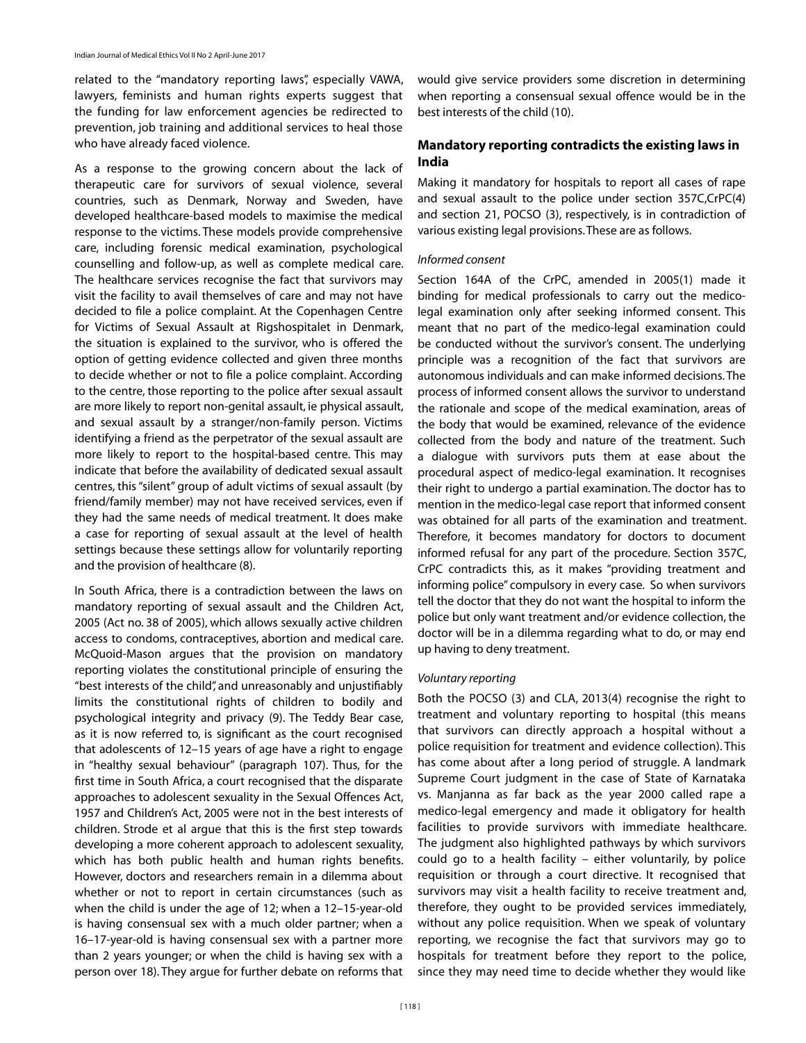related to the "mandatory reporting laws", especially VAWA, lawyers, feminists and human rights experts suggest that the funding for law enforcement agencies be redirected to prevention, job training and additional services to heal those who have already faced violence.

As a response to the growing concern about the lack of therapeutic care for survivors of sexual violence, several countries, such as Denmark, Norway and Sweden, have developed healthcare-based models to maximise the medical response to the victims. These models provide comprehensive care, including forensic medical examination, psychological counselling and follow-up, as well as complete medical care. The healthcare services recognise the fact that survivors may visit the facility to avail themselves of care and may not have decided to file a police complaint. At the Copenhagen Centre for Victims of Sexual Assault at Rigshospitalet in Denmark, the situation is explained to the survivor, who is offered the option of getting evidence collected and given three months to decide whether or not to file a police complaint. According to the centre, those reporting to the police after sexual assault are more likely to report non-genital assault, ie physical assault, and sexual assault by a stranger/non-family person. Victims identifying a friend as the perpetrator of the sexual assault are more likely to report to the hospital-based centre. This may indicate that before the availability of dedicated sexual assault centres, this "silent" group of adult victims of sexual assault (by friend/family member) may not have received services, even if they had the same needs of medical treatment. It does make a case for reporting of sexual assault at the level of health settings because these settings allow for voluntarily reporting and the provision of healthcare (8).

In South Africa, there is a contradiction between the laws on mandatory reporting of sexual assault and the Children Act, 2005 (Act no. 38 of 2005), which allows sexually active children access to condoms, contraceptives, abortion and medical care. McQuoid-Mason argues that the provision on mandatory reporting violates the constitutional principle of ensuring the "best interests of the child", and unreasonably and unjustifiably limits the constitutional rights of children to bodily and psychological integrity and privacy (9). The Teddy Bear case, as it is now referred to, is significant as the court recognised that adolescents of 12–15 years of age have a right to engage in "healthy sexual behaviour" (paragraph 107). Thus, for the first time in South Africa, a court recognised that the disparate approaches to adolescent sexuality in the Sexual Offences Act, 1957 and Children's Act, 2005 were not in the best interests of children. Strode et al argue that this is the first step towards developing a more coherent approach to adolescent sexuality, which has both public health and human rights benefits. However, doctors and researchers remain in a dilemma about whether or not to report in certain circumstances (such as when the child is under the age of 12; when a 12–15-year-old is having consensual sex with a much older partner; when a 16–17-year-old is having consensual sex with a partner more than 2 years younger; or when the child is having sex with a person over 18). They argue for further debate on reforms that

would give service providers some discretion in determining when reporting a consensual sexual offence would be in the best interests of the child (10).

# **Mandatory reporting contradicts the existing laws in India**

Making it mandatory for hospitals to report all cases of rape and sexual assault to the police under section 357C,CrPC(4) and section 21, POCSO (3), respectively, is in contradiction of various existing legal provisions. These are as follows.

#### *Informed consent*

Section 164A of the CrPC, amended in 2005(1) made it binding for medical professionals to carry out the medicolegal examination only after seeking informed consent. This meant that no part of the medico-legal examination could be conducted without the survivor's consent. The underlying principle was a recognition of the fact that survivors are autonomous individuals and can make informed decisions. The process of informed consent allows the survivor to understand the rationale and scope of the medical examination, areas of the body that would be examined, relevance of the evidence collected from the body and nature of the treatment. Such a dialogue with survivors puts them at ease about the procedural aspect of medico-legal examination. It recognises their right to undergo a partial examination. The doctor has to mention in the medico-legal case report that informed consent was obtained for all parts of the examination and treatment. Therefore, it becomes mandatory for doctors to document informed refusal for any part of the procedure. Section 357C, CrPC contradicts this, as it makes "providing treatment and informing police" compulsory in every case. So when survivors tell the doctor that they do not want the hospital to inform the police but only want treatment and/or evidence collection, the doctor will be in a dilemma regarding what to do, or may end up having to deny treatment.

#### *Voluntary reporting*

Both the POCSO (3) and CLA, 2013(4) recognise the right to treatment and voluntary reporting to hospital (this means that survivors can directly approach a hospital without a police requisition for treatment and evidence collection). This has come about after a long period of struggle. A landmark Supreme Court judgment in the case of State of Karnataka vs. Manjanna as far back as the year 2000 called rape a medico-legal emergency and made it obligatory for health facilities to provide survivors with immediate healthcare. The judgment also highlighted pathways by which survivors could go to a health facility – either voluntarily, by police requisition or through a court directive. It recognised that survivors may visit a health facility to receive treatment and, therefore, they ought to be provided services immediately, without any police requisition. When we speak of voluntary reporting, we recognise the fact that survivors may go to hospitals for treatment before they report to the police, since they may need time to decide whether they would like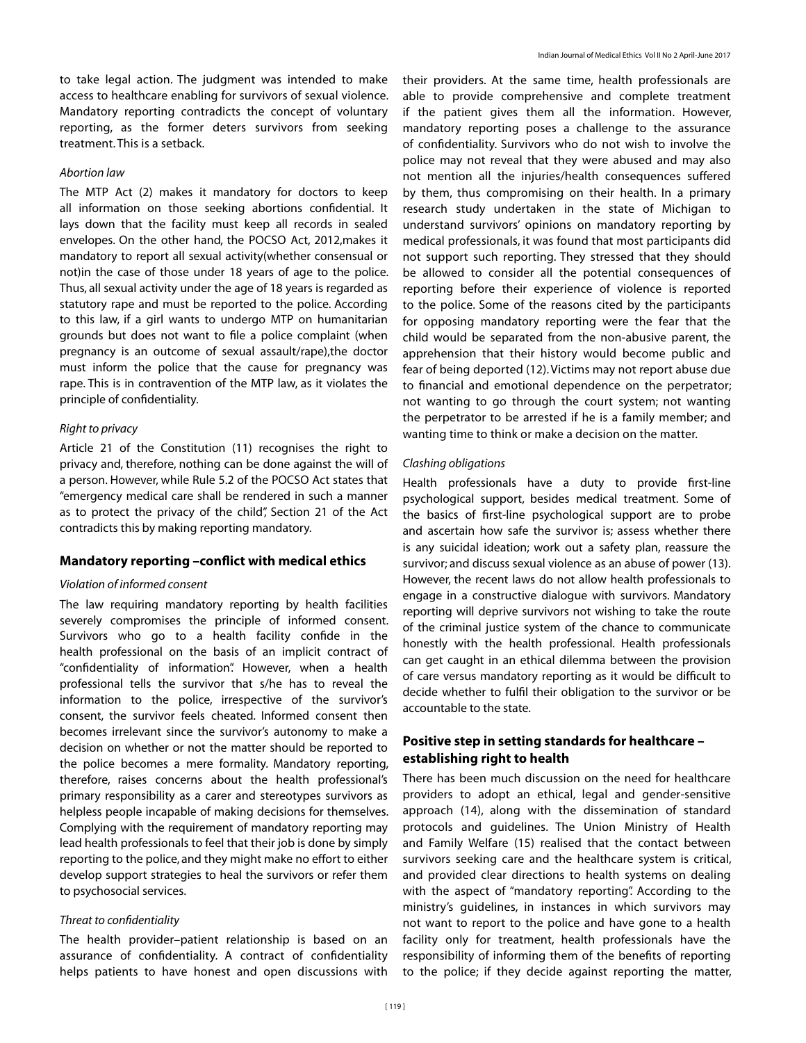to take legal action. The judgment was intended to make access to healthcare enabling for survivors of sexual violence. Mandatory reporting contradicts the concept of voluntary reporting, as the former deters survivors from seeking treatment. This is a setback.

## *Abortion law*

The MTP Act (2) makes it mandatory for doctors to keep all information on those seeking abortions confidential. It lays down that the facility must keep all records in sealed envelopes. On the other hand, the POCSO Act, 2012,makes it mandatory to report all sexual activity(whether consensual or not)in the case of those under 18 years of age to the police. Thus, all sexual activity under the age of 18 years is regarded as statutory rape and must be reported to the police. According to this law, if a girl wants to undergo MTP on humanitarian grounds but does not want to file a police complaint (when pregnancy is an outcome of sexual assault/rape),the doctor must inform the police that the cause for pregnancy was rape. This is in contravention of the MTP law, as it violates the principle of confidentiality.

#### *Right to privacy*

Article 21 of the Constitution (11) recognises the right to privacy and, therefore, nothing can be done against the will of a person. However, while Rule 5.2 of the POCSO Act states that "emergency medical care shall be rendered in such a manner as to protect the privacy of the child", Section 21 of the Act contradicts this by making reporting mandatory.

#### **Mandatory reporting –conflict with medical ethics**

#### *Violation of informed consent*

The law requiring mandatory reporting by health facilities severely compromises the principle of informed consent. Survivors who go to a health facility confide in the health professional on the basis of an implicit contract of "confidentiality of information". However, when a health professional tells the survivor that s/he has to reveal the information to the police, irrespective of the survivor's consent, the survivor feels cheated. Informed consent then becomes irrelevant since the survivor's autonomy to make a decision on whether or not the matter should be reported to the police becomes a mere formality. Mandatory reporting, therefore, raises concerns about the health professional's primary responsibility as a carer and stereotypes survivors as helpless people incapable of making decisions for themselves. Complying with the requirement of mandatory reporting may lead health professionals to feel that their job is done by simply reporting to the police, and they might make no effort to either develop support strategies to heal the survivors or refer them to psychosocial services.

#### *Threat to confidentiality*

The health provider–patient relationship is based on an assurance of confidentiality. A contract of confidentiality helps patients to have honest and open discussions with

their providers. At the same time, health professionals are able to provide comprehensive and complete treatment if the patient gives them all the information. However, mandatory reporting poses a challenge to the assurance of confidentiality. Survivors who do not wish to involve the police may not reveal that they were abused and may also not mention all the injuries/health consequences suffered by them, thus compromising on their health. In a primary research study undertaken in the state of Michigan to understand survivors' opinions on mandatory reporting by medical professionals, it was found that most participants did not support such reporting. They stressed that they should be allowed to consider all the potential consequences of reporting before their experience of violence is reported to the police. Some of the reasons cited by the participants for opposing mandatory reporting were the fear that the child would be separated from the non-abusive parent, the apprehension that their history would become public and fear of being deported (12). Victims may not report abuse due to financial and emotional dependence on the perpetrator; not wanting to go through the court system; not wanting the perpetrator to be arrested if he is a family member; and wanting time to think or make a decision on the matter.

#### *Clashing obligations*

Health professionals have a duty to provide first-line psychological support, besides medical treatment. Some of the basics of first-line psychological support are to probe and ascertain how safe the survivor is; assess whether there is any suicidal ideation; work out a safety plan, reassure the survivor; and discuss sexual violence as an abuse of power (13). However, the recent laws do not allow health professionals to engage in a constructive dialogue with survivors. Mandatory reporting will deprive survivors not wishing to take the route of the criminal justice system of the chance to communicate honestly with the health professional. Health professionals can get caught in an ethical dilemma between the provision of care versus mandatory reporting as it would be difficult to decide whether to fulfil their obligation to the survivor or be accountable to the state.

# **Positive step in setting standards for healthcare – establishing right to health**

There has been much discussion on the need for healthcare providers to adopt an ethical, legal and gender-sensitive approach (14), along with the dissemination of standard protocols and guidelines. The Union Ministry of Health and Family Welfare (15) realised that the contact between survivors seeking care and the healthcare system is critical, and provided clear directions to health systems on dealing with the aspect of "mandatory reporting". According to the ministry's guidelines, in instances in which survivors may not want to report to the police and have gone to a health facility only for treatment, health professionals have the responsibility of informing them of the benefits of reporting to the police; if they decide against reporting the matter,